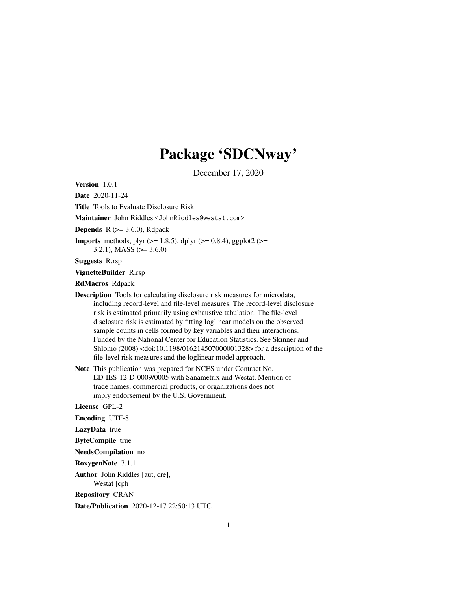## Package 'SDCNway'

December 17, 2020

Version 1.0.1

Date 2020-11-24

Title Tools to Evaluate Disclosure Risk

Maintainer John Riddles <JohnRiddles@westat.com>

**Depends**  $R$  ( $>= 3.6.0$ ), Rdpack

**Imports** methods, plyr ( $>= 1.8.5$ ), dplyr ( $>= 0.8.4$ ), ggplot2 ( $>=$ 

3.2.1), MASS ( $>= 3.6.0$ )

Suggests R.rsp

VignetteBuilder R.rsp

RdMacros Rdpack

Description Tools for calculating disclosure risk measures for microdata, including record-level and file-level measures. The record-level disclosure risk is estimated primarily using exhaustive tabulation. The file-level disclosure risk is estimated by fitting loglinear models on the observed sample counts in cells formed by key variables and their interactions. Funded by the National Center for Education Statistics. See Skinner and Shlomo (2008) <doi:10.1198/016214507000001328> for a description of the file-level risk measures and the loglinear model approach.

Note This publication was prepared for NCES under Contract No. ED-IES-12-D-0009/0005 with Sanametrix and Westat. Mention of trade names, commercial products, or organizations does not imply endorsement by the U.S. Government.

License GPL-2

Encoding UTF-8

LazyData true

ByteCompile true

NeedsCompilation no

RoxygenNote 7.1.1

Author John Riddles [aut, cre], Westat [cph]

Repository CRAN

Date/Publication 2020-12-17 22:50:13 UTC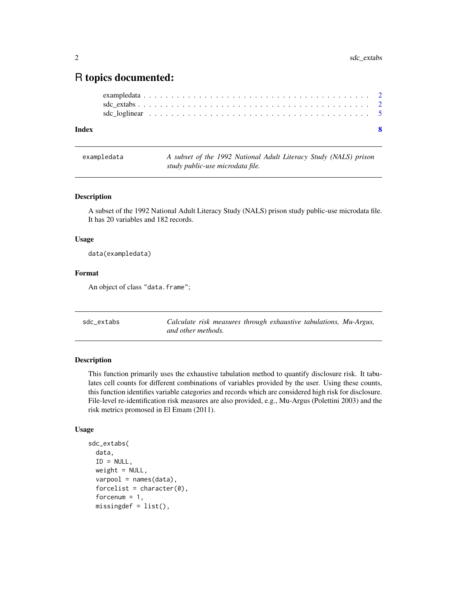### <span id="page-1-0"></span>R topics documented:

| Index |  |  |  |  |  |  |  |  |  |  |  |  |  |  |  |  |  |  |  |
|-------|--|--|--|--|--|--|--|--|--|--|--|--|--|--|--|--|--|--|--|
|       |  |  |  |  |  |  |  |  |  |  |  |  |  |  |  |  |  |  |  |
|       |  |  |  |  |  |  |  |  |  |  |  |  |  |  |  |  |  |  |  |
|       |  |  |  |  |  |  |  |  |  |  |  |  |  |  |  |  |  |  |  |

exampledata *A subset of the 1992 National Adult Literacy Study (NALS) prison study public-use microdata file.*

#### Description

A subset of the 1992 National Adult Literacy Study (NALS) prison study public-use microdata file. It has 20 variables and 182 records.

#### Usage

data(exampledata)

#### Format

An object of class "data.frame";

<span id="page-1-1"></span>sdc\_extabs *Calculate risk measures through exhaustive tabulations, Mu-Argus, and other methods.*

#### Description

This function primarily uses the exhaustive tabulation method to quantify disclosure risk. It tabulates cell counts for different combinations of variables provided by the user. Using these counts, this function identifies variable categories and records which are considered high risk for disclosure. File-level re-identification risk measures are also provided, e.g., Mu-Argus (Polettini 2003) and the risk metrics promosed in El Emam (2011).

#### Usage

```
sdc_extabs(
  data,
  ID = NULL,weight = NULL,varpool = names(data),
  forcelist = character(0),forcenum = 1,
  missingdef = list(),
```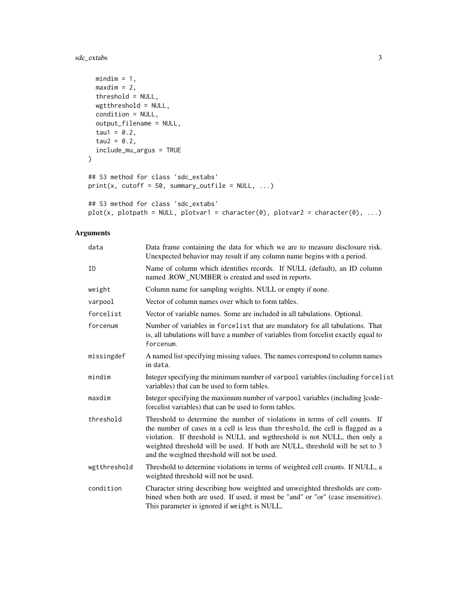sdc\_extabs 3

```
mindim = 1,
 maxdim = 2,
 threshold = NULL,
 wgtthreshold = NULL,
 condition = NULL,
 output_filename = NULL,
 tau = 0.2,
 tau2 = 0.2,
 include_mu_argus = TRUE
\lambda## S3 method for class 'sdc_extabs'
print(x, cutoff = 50, summary\_outfile = NULL, ...)## S3 method for class 'sdc_extabs'
plot(x, plotpath = NULL, plotvar1 = character(0), plotvar2 = character(0), ...)
```
#### Arguments

| data         | Data frame containing the data for which we are to measure disclosure risk.<br>Unexpected behavior may result if any column name begins with a period.                                                                                                                                                                                                                     |
|--------------|----------------------------------------------------------------------------------------------------------------------------------------------------------------------------------------------------------------------------------------------------------------------------------------------------------------------------------------------------------------------------|
| ID           | Name of column which identifies records. If NULL (default), an ID column<br>named .ROW_NUMBER is created and used in reports.                                                                                                                                                                                                                                              |
| weight       | Column name for sampling weights. NULL or empty if none.                                                                                                                                                                                                                                                                                                                   |
| varpool      | Vector of column names over which to form tables.                                                                                                                                                                                                                                                                                                                          |
| forcelist    | Vector of variable names. Some are included in all tabulations. Optional.                                                                                                                                                                                                                                                                                                  |
| forcenum     | Number of variables in forcelist that are mandatory for all tabulations. That<br>is, all tabulations will have a number of variables from forcelist exactly equal to<br>forcenum.                                                                                                                                                                                          |
| missingdef   | A named list specifying missing values. The names correspond to column names<br>in data.                                                                                                                                                                                                                                                                                   |
| mindim       | Integer specifying the minimum number of varpool variables (including forcelist<br>variables) that can be used to form tables.                                                                                                                                                                                                                                             |
| maxdim       | Integer specifying the maximum number of varpool variables (including lcode-<br>forcelist variables) that can be used to form tables.                                                                                                                                                                                                                                      |
| threshold    | Threshold to determine the number of violations in terms of cell counts. If<br>the number of cases in a cell is less than threshold, the cell is flagged as a<br>violation. If threshold is NULL and wgthreshold is not NULL, then only a<br>weighted threshold will be used. If both are NULL, threshold will be set to 3<br>and the weighted threshold will not be used. |
| wgtthreshold | Threshold to determine violations in terms of weighted cell counts. If NULL, a<br>weighted threshold will not be used.                                                                                                                                                                                                                                                     |
| condition    | Character string describing how weighted and unweighted thresholds are com-<br>bined when both are used. If used, it must be "and" or "or" (case insensitive).<br>This parameter is ignored if weight is NULL.                                                                                                                                                             |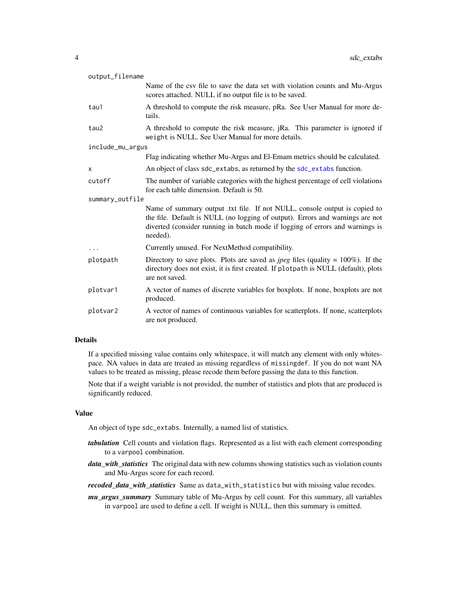<span id="page-3-0"></span>

| output_filename  |                                                                                                                                                                                                                                                          |
|------------------|----------------------------------------------------------------------------------------------------------------------------------------------------------------------------------------------------------------------------------------------------------|
|                  | Name of the csv file to save the data set with violation counts and Mu-Argus<br>scores attached. NULL if no output file is to be saved.                                                                                                                  |
| tau1             | A threshold to compute the risk measure, pRa. See User Manual for more de-<br>tails.                                                                                                                                                                     |
| tau2             | A threshold to compute the risk measure, jRa. This parameter is ignored if<br>weight is NULL. See User Manual for more details.                                                                                                                          |
| include_mu_argus |                                                                                                                                                                                                                                                          |
|                  | Flag indicating whether Mu-Argus and El-Emam metrics should be calculated.                                                                                                                                                                               |
| X                | An object of class sdc_extabs, as returned by the sdc_extabs function.                                                                                                                                                                                   |
| cutoff           | The number of variable categories with the highest percentage of cell violations<br>for each table dimension. Default is 50.                                                                                                                             |
| summary_outfile  |                                                                                                                                                                                                                                                          |
|                  | Name of summary output .txt file. If not NULL, console output is copied to<br>the file. Default is NULL (no logging of output). Errors and warnings are not<br>diverted (consider running in batch mode if logging of errors and warnings is<br>needed). |
|                  | Currently unused. For NextMethod compatibility.                                                                                                                                                                                                          |
| plotpath         | Directory to save plots. Plots are saved as <i>jpeg</i> files (quality = $100\%$ ). If the<br>directory does not exist, it is first created. If plotpath is NULL (default), plots<br>are not saved.                                                      |
| plotvar1         | A vector of names of discrete variables for boxplots. If none, boxplots are not<br>produced.                                                                                                                                                             |
| plotvar2         | A vector of names of continuous variables for scatterplots. If none, scatterplots<br>are not produced.                                                                                                                                                   |

#### Details

If a specified missing value contains only whitespace, it will match any element with only whitespace. NA values in data are treated as missing regardless of missingdef. If you do not want NA values to be treated as missing, please recode them before passing the data to this function.

Note that if a weight variable is not provided, the number of statistics and plots that are produced is significantly reduced.

#### Value

An object of type sdc\_extabs. Internally, a named list of statistics.

- *tabulation* Cell counts and violation flags. Represented as a list with each element corresponding to a varpool combination.
- *data\_with\_statistics* The original data with new columns showing statistics such as violation counts and Mu-Argus score for each record.
- *recoded\_data\_with\_statistics* Same as data\_with\_statistics but with missing value recodes.
- *mu\_argus\_summary* Summary table of Mu-Argus by cell count. For this summary, all variables in varpool are used to define a cell. If weight is NULL, then this summary is omitted.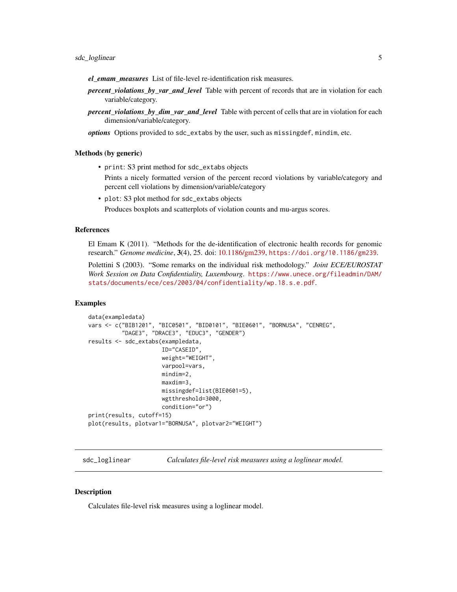- <span id="page-4-0"></span>*el\_emam\_measures* List of file-level re-identification risk measures.
- *percent\_violations\_by\_var\_and\_level* Table with percent of records that are in violation for each variable/category.
- *percent\_violations\_by\_dim\_var\_and\_level* Table with percent of cells that are in violation for each dimension/variable/category.

*options* Options provided to sdc\_extabs by the user, such as missingdef, mindim, etc.

#### Methods (by generic)

• print: S3 print method for sdc\_extabs objects

Prints a nicely formatted version of the percent record violations by variable/category and percent cell violations by dimension/variable/category

• plot: S3 plot method for sdc\_extabs objects Produces boxplots and scatterplots of violation counts and mu-argus scores.

#### References

El Emam K (2011). "Methods for the de-identification of electronic health records for genomic research." *Genome medicine*, 3(4), 25. doi: [10.1186/gm239,](https://doi.org/10.1186/gm239) <https://doi.org/10.1186/gm239>.

Polettini S (2003). "Some remarks on the individual risk methodology." *Joint ECE/EUROSTAT Work Session on Data Confidentiality, Luxembourg*. [https://www.unece.org/fileadmin/DAM/](https://www.unece.org/fileadmin/DAM/stats/documents/ece/ces/2003/04/confidentiality/wp.18.s.e.pdf) [stats/documents/ece/ces/2003/04/confidentiality/wp.18.s.e.pdf](https://www.unece.org/fileadmin/DAM/stats/documents/ece/ces/2003/04/confidentiality/wp.18.s.e.pdf).

#### Examples

```
data(exampledata)
vars <- c("BIB1201", "BIC0501", "BID0101", "BIE0601", "BORNUSA", "CENREG",
          "DAGE3", "DRACE3", "EDUC3", "GENDER")
results <- sdc_extabs(exampledata,
                      ID="CASEID",
                      weight="WEIGHT",
                      varpool=vars,
                      mindim=2,
                      maxdim=3,
                      missingdef=list(BIE0601=5),
                      wgtthreshold=3000,
                      condition="or")
print(results, cutoff=15)
plot(results, plotvar1="BORNUSA", plotvar2="WEIGHT")
```
sdc\_loglinear *Calculates file-level risk measures using a loglinear model.*

#### **Description**

Calculates file-level risk measures using a loglinear model.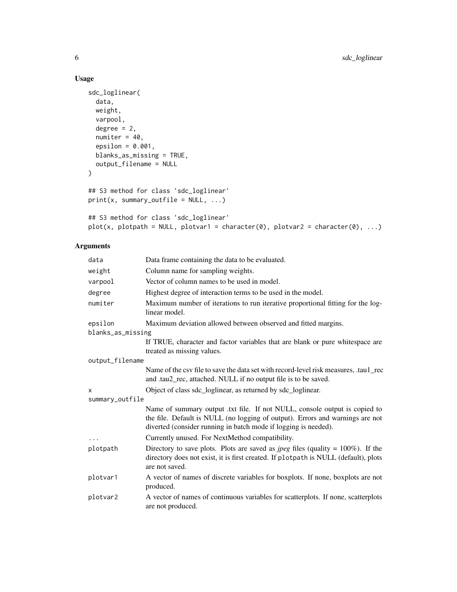#### Usage

```
sdc_loglinear(
 data,
 weight,
 varpool,
 degree = 2,
 numiter = 40,
 epsilon = 0.001,
 blanks_as_missing = TRUE,
 output_filename = NULL
\mathcal{L}## S3 method for class 'sdc_loglinear'
print(x, summary-outfile = NULL, ...)## S3 method for class 'sdc_loglinear'
plot(x, plotpath = NULL, plotvar1 = character(0), plotvar2 = character(0), ...)
```
#### Arguments

| data              | Data frame containing the data to be evaluated.                                                                                                                                                                                |
|-------------------|--------------------------------------------------------------------------------------------------------------------------------------------------------------------------------------------------------------------------------|
| weight            | Column name for sampling weights.                                                                                                                                                                                              |
| varpool           | Vector of column names to be used in model.                                                                                                                                                                                    |
| degree            | Highest degree of interaction terms to be used in the model.                                                                                                                                                                   |
| numiter           | Maximum number of iterations to run iterative proportional fitting for the log-<br>linear model.                                                                                                                               |
| epsilon           | Maximum deviation allowed between observed and fitted margins.                                                                                                                                                                 |
| blanks_as_missing |                                                                                                                                                                                                                                |
|                   | If TRUE, character and factor variables that are blank or pure white space are<br>treated as missing values.                                                                                                                   |
| output_filename   |                                                                                                                                                                                                                                |
|                   | Name of the csy file to save the data set with record-level risk measures, taul rec<br>and .tau2_rec, attached. NULL if no output file is to be saved.                                                                         |
| X                 | Object of class sdc_loglinear, as returned by sdc_loglinear.                                                                                                                                                                   |
| summary_outfile   |                                                                                                                                                                                                                                |
|                   | Name of summary output .txt file. If not NULL, console output is copied to<br>the file. Default is NULL (no logging of output). Errors and warnings are not<br>diverted (consider running in batch mode if logging is needed). |
| .                 | Currently unused. For NextMethod compatibility.                                                                                                                                                                                |
| plotpath          | Directory to save plots. Plots are saved as <i>jpeg</i> files (quality = $100\%$ ). If the<br>directory does not exist, it is first created. If plotpath is NULL (default), plots<br>are not saved.                            |
| plotvar1          | A vector of names of discrete variables for boxplots. If none, boxplots are not<br>produced.                                                                                                                                   |
| plotvar2          | A vector of names of continuous variables for scatterplots. If none, scatterplots<br>are not produced.                                                                                                                         |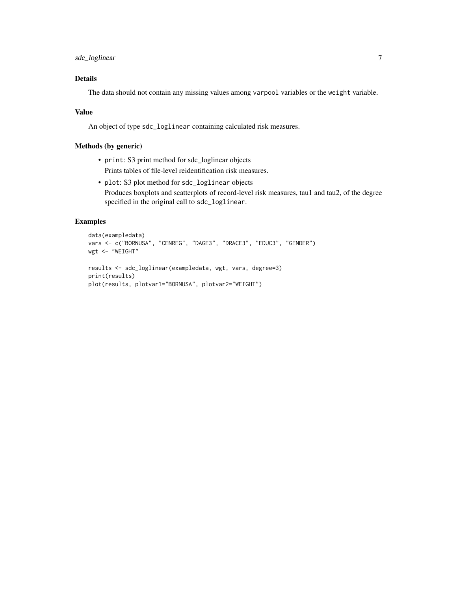sdc\_loglinear 7

#### Details

The data should not contain any missing values among varpool variables or the weight variable.

#### Value

An object of type sdc\_loglinear containing calculated risk measures.

#### Methods (by generic)

- print: S3 print method for sdc\_loglinear objects Prints tables of file-level reidentification risk measures.
- plot: S3 plot method for sdc\_loglinear objects Produces boxplots and scatterplots of record-level risk measures, tau1 and tau2, of the degree specified in the original call to sdc\_loglinear.

#### Examples

```
data(exampledata)
vars <- c("BORNUSA", "CENREG", "DAGE3", "DRACE3", "EDUC3", "GENDER")
wgt <- "WEIGHT"
results <- sdc_loglinear(exampledata, wgt, vars, degree=3)
print(results)
plot(results, plotvar1="BORNUSA", plotvar2="WEIGHT")
```